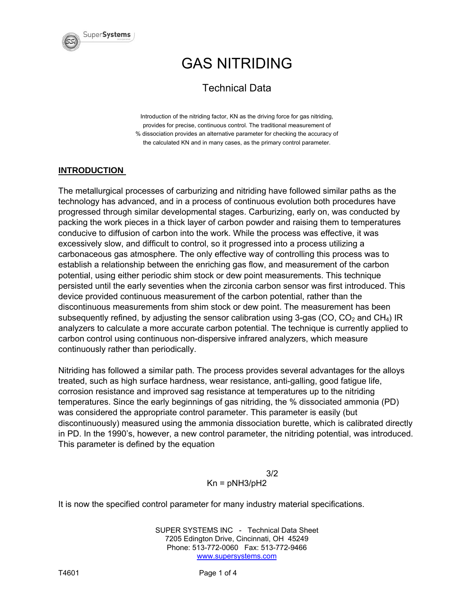

### Technical Data

Introduction of the nitriding factor, KN as the driving force for gas nitriding, provides for precise, continuous control. The traditional measurement of % dissociation provides an alternative parameter for checking the accuracy of the calculated KN and in many cases, as the primary control parameter.

#### **INTRODUCTION**

The metallurgical processes of carburizing and nitriding have followed similar paths as the technology has advanced, and in a process of continuous evolution both procedures have progressed through similar developmental stages. Carburizing, early on, was conducted by packing the work pieces in a thick layer of carbon powder and raising them to temperatures conducive to diffusion of carbon into the work. While the process was effective, it was excessively slow, and difficult to control, so it progressed into a process utilizing a carbonaceous gas atmosphere. The only effective way of controlling this process was to establish a relationship between the enriching gas flow, and measurement of the carbon potential, using either periodic shim stock or dew point measurements. This technique persisted until the early seventies when the zirconia carbon sensor was first introduced. This device provided continuous measurement of the carbon potential, rather than the discontinuous measurements from shim stock or dew point. The measurement has been subsequently refined, by adjusting the sensor calibration using 3-gas (CO,  $CO<sub>2</sub>$  and CH<sub>4</sub>) IR analyzers to calculate a more accurate carbon potential. The technique is currently applied to carbon control using continuous non-dispersive infrared analyzers, which measure continuously rather than periodically.

Nitriding has followed a similar path. The process provides several advantages for the alloys treated, such as high surface hardness, wear resistance, anti-galling, good fatigue life, corrosion resistance and improved sag resistance at temperatures up to the nitriding temperatures. Since the early beginnings of gas nitriding, the % dissociated ammonia (PD) was considered the appropriate control parameter. This parameter is easily (but discontinuously) measured using the ammonia dissociation burette, which is calibrated directly in PD. In the 1990's, however, a new control parameter, the nitriding potential, was introduced. This parameter is defined by the equation

> 3/2  $Kn = pNH3/bH2$

It is now the specified control parameter for many industry material specifications.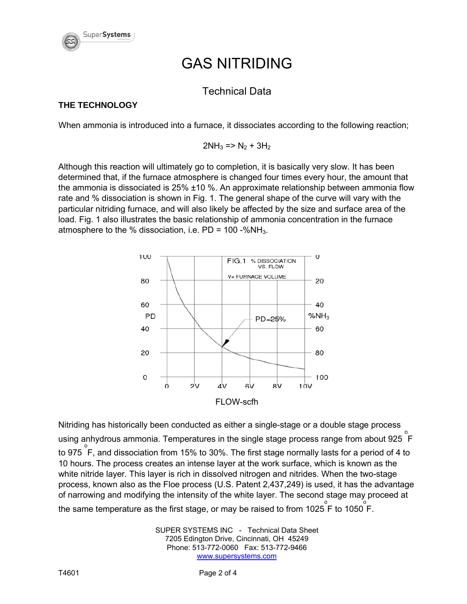

### Technical Data

### **THE TECHNOLOGY**

When ammonia is introduced into a furnace, it dissociates according to the following reaction;

 $2NH_3$  => N<sub>2</sub> + 3H<sub>2</sub>

Although this reaction will ultimately go to completion, it is basically very slow. It has been determined that, if the furnace atmosphere is changed four times every hour, the amount that the ammonia is dissociated is 25% ±10 %. An approximate relationship between ammonia flow rate and % dissociation is shown in Fig. 1. The general shape of the curve will vary with the particular nitriding furnace, and will also likely be affected by the size and surface area of the load. Fig. 1 also illustrates the basic relationship of ammonia concentration in the furnace atmosphere to the % dissociation, i.e.  $PD = 100 - %NH<sub>3</sub>$ .



Nitriding has historically been conducted as either a single-stage or a double stage process using anhydrous ammonia. Temperatures in the single stage process range from about 925 F to 975 F, and dissociation from 15% to 30%. The first stage normally lasts for a period of 4 to 10 hours. The process creates an intense layer at the work surface, which is known as the white nitride layer. This layer is rich in dissolved nitrogen and nitrides. When the two-stage process, known also as the Floe process (U.S. Patent 2,437,249) is used, it has the advantage of narrowing and modifying the intensity of the white layer. The second stage may proceed at the same temperature as the first stage, or may be raised to from 1025  $\overset{\circ}{\mathsf{F}}$  to 1050  $\overset{\circ}{\mathsf{F}}$ .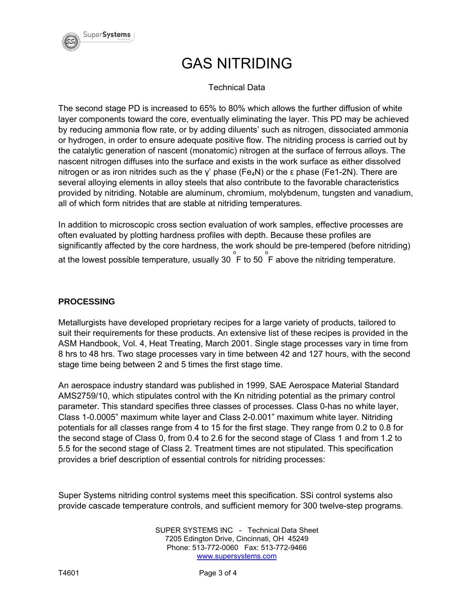

#### Technical Data

The second stage PD is increased to 65% to 80% which allows the further diffusion of white layer components toward the core, eventually eliminating the layer. This PD may be achieved by reducing ammonia flow rate, or by adding diluents' such as nitrogen, dissociated ammonia or hydrogen, in order to ensure adequate positive flow. The nitriding process is carried out by the catalytic generation of nascent (monatomic) nitrogen at the surface of ferrous alloys. The nascent nitrogen diffuses into the surface and exists in the work surface as either dissolved nitrogen or as iron nitrides such as the γ' phase (Fe<sub>4</sub>N) or the ε phase (Fe1-2N). There are several alloying elements in alloy steels that also contribute to the favorable characteristics provided by nitriding. Notable are aluminum, chromium, molybdenum, tungsten and vanadium, all of which form nitrides that are stable at nitriding temperatures.

In addition to microscopic cross section evaluation of work samples, effective processes are often evaluated by plotting hardness profiles with depth. Because these profiles are significantly affected by the core hardness, the work should be pre-tempered (before nitriding) at the lowest possible temperature, usually 30  $\overset{\circ}{\mathsf{F}}$  to 50  $\overset{\circ}{\mathsf{F}}$  above the nitriding temperature.

#### **PROCESSING**

Metallurgists have developed proprietary recipes for a large variety of products, tailored to suit their requirements for these products. An extensive list of these recipes is provided in the ASM Handbook, Vol. 4, Heat Treating, March 2001. Single stage processes vary in time from 8 hrs to 48 hrs. Two stage processes vary in time between 42 and 127 hours, with the second stage time being between 2 and 5 times the first stage time.

An aerospace industry standard was published in 1999, SAE Aerospace Material Standard AMS2759/10, which stipulates control with the Kn nitriding potential as the primary control parameter. This standard specifies three classes of processes. Class 0-has no white layer, Class 1-0.0005" maximum white layer and Class 2-0.001" maximum white layer. Nitriding potentials for all classes range from 4 to 15 for the first stage. They range from 0.2 to 0.8 for the second stage of Class 0, from 0.4 to 2.6 for the second stage of Class 1 and from 1.2 to 5.5 for the second stage of Class 2. Treatment times are not stipulated. This specification provides a brief description of essential controls for nitriding processes:

Super Systems nitriding control systems meet this specification. SSi control systems also provide cascade temperature controls, and sufficient memory for 300 twelve-step programs.